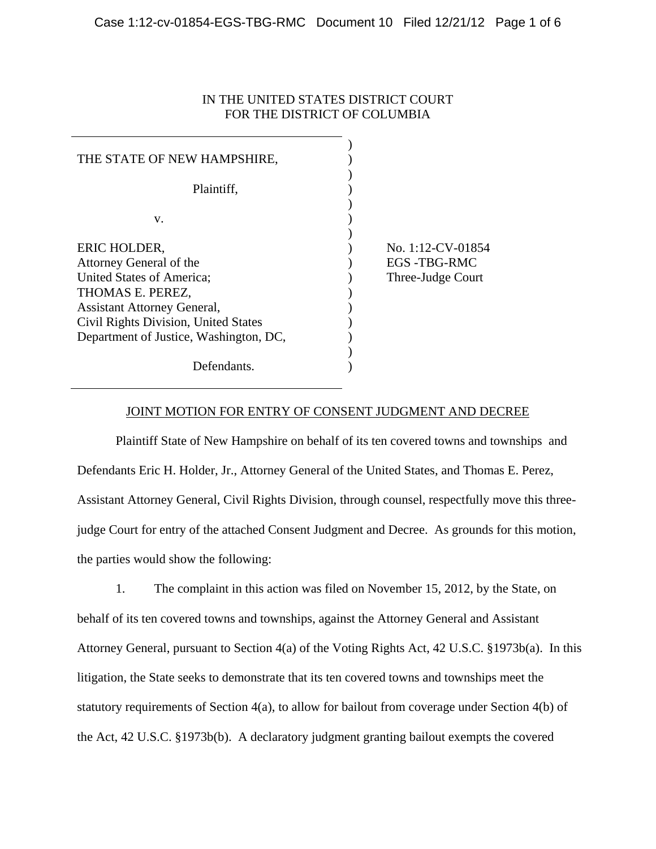# IN THE UNITED STATES DISTRICT COURT FOR THE DISTRICT OF COLUMBIA

| THE STATE OF NEW HAMPSHIRE,            |                    |
|----------------------------------------|--------------------|
| Plaintiff,                             |                    |
| V.                                     |                    |
| ERIC HOLDER,                           | No. 1:12-CV-01854  |
| Attorney General of the                | <b>EGS-TBG-RMC</b> |
| United States of America;              | Three-Judge Court  |
| THOMAS E. PEREZ,                       |                    |
| <b>Assistant Attorney General,</b>     |                    |
| Civil Rights Division, United States   |                    |
| Department of Justice, Washington, DC, |                    |
|                                        |                    |
| Defendants.                            |                    |

### JOINT MOTION FOR ENTRY OF CONSENT JUDGMENT AND DECREE

 Plaintiff State of New Hampshire on behalf of its ten covered towns and townships and Defendants Eric H. Holder, Jr., Attorney General of the United States, and Thomas E. Perez, Assistant Attorney General, Civil Rights Division, through counsel, respectfully move this threejudge Court for entry of the attached Consent Judgment and Decree. As grounds for this motion, the parties would show the following:

 1. The complaint in this action was filed on November 15, 2012, by the State, on behalf of its ten covered towns and townships, against the Attorney General and Assistant Attorney General, pursuant to Section 4(a) of the Voting Rights Act, 42 U.S.C. §1973b(a). In this litigation, the State seeks to demonstrate that its ten covered towns and townships meet the statutory requirements of Section 4(a), to allow for bailout from coverage under Section 4(b) of the Act, 42 U.S.C. §1973b(b). A declaratory judgment granting bailout exempts the covered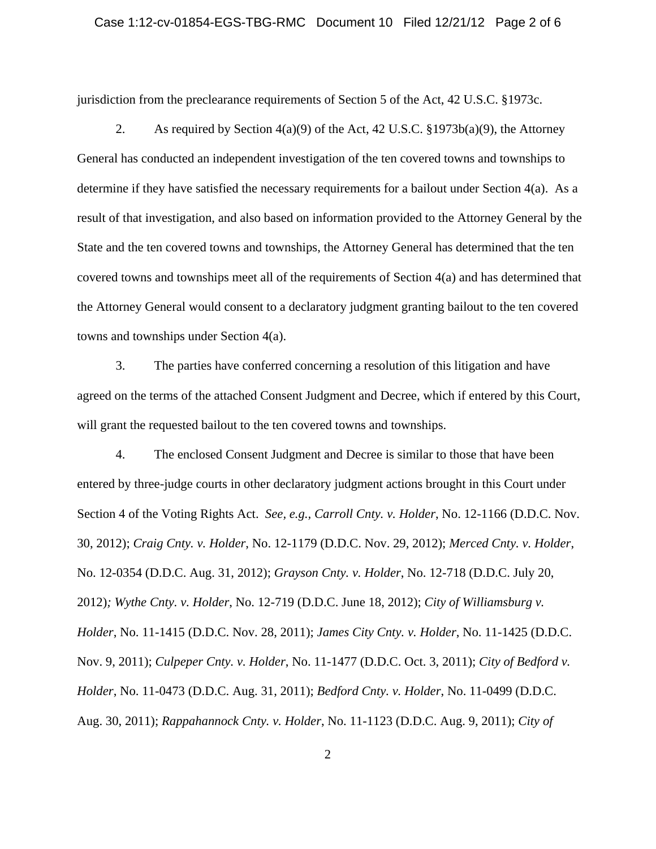### Case 1:12-cv-01854-EGS-TBG-RMC Document 10 Filed 12/21/12 Page 2 of 6

jurisdiction from the preclearance requirements of Section 5 of the Act, 42 U.S.C. §1973c.

2. As required by Section  $4(a)(9)$  of the Act, 42 U.S.C. §1973b(a)(9), the Attorney General has conducted an independent investigation of the ten covered towns and townships to determine if they have satisfied the necessary requirements for a bailout under Section 4(a). As a result of that investigation, and also based on information provided to the Attorney General by the State and the ten covered towns and townships, the Attorney General has determined that the ten covered towns and townships meet all of the requirements of Section 4(a) and has determined that the Attorney General would consent to a declaratory judgment granting bailout to the ten covered towns and townships under Section 4(a).

 3. The parties have conferred concerning a resolution of this litigation and have agreed on the terms of the attached Consent Judgment and Decree, which if entered by this Court, will grant the requested bailout to the ten covered towns and townships.

 4. The enclosed Consent Judgment and Decree is similar to those that have been entered by three-judge courts in other declaratory judgment actions brought in this Court under Section 4 of the Voting Rights Act. *See, e.g., Carroll Cnty. v. Holder*, No. 12-1166 (D.D.C. Nov. 30, 2012); *Craig Cnty. v. Holder*, No. 12-1179 (D.D.C. Nov. 29, 2012); *Merced Cnty. v. Holder*, No. 12-0354 (D.D.C. Aug. 31, 2012); *Grayson Cnty. v. Holder*, No. 12-718 (D.D.C. July 20, 2012)*; Wythe Cnty. v. Holder*, No. 12-719 (D.D.C. June 18, 2012); *City of Williamsburg v. Holder*, No. 11-1415 (D.D.C. Nov. 28, 2011); *James City Cnty. v. Holder*, No. 11-1425 (D.D.C. Nov. 9, 2011); *Culpeper Cnty. v. Holder*, No. 11-1477 (D.D.C. Oct. 3, 2011); *City of Bedford v. Holder*, No. 11-0473 (D.D.C. Aug. 31, 2011); *Bedford Cnty. v. Holder*, No. 11-0499 (D.D.C. Aug. 30, 2011); *Rappahannock Cnty. v. Holder*, No. 11-1123 (D.D.C. Aug. 9, 2011); *City of*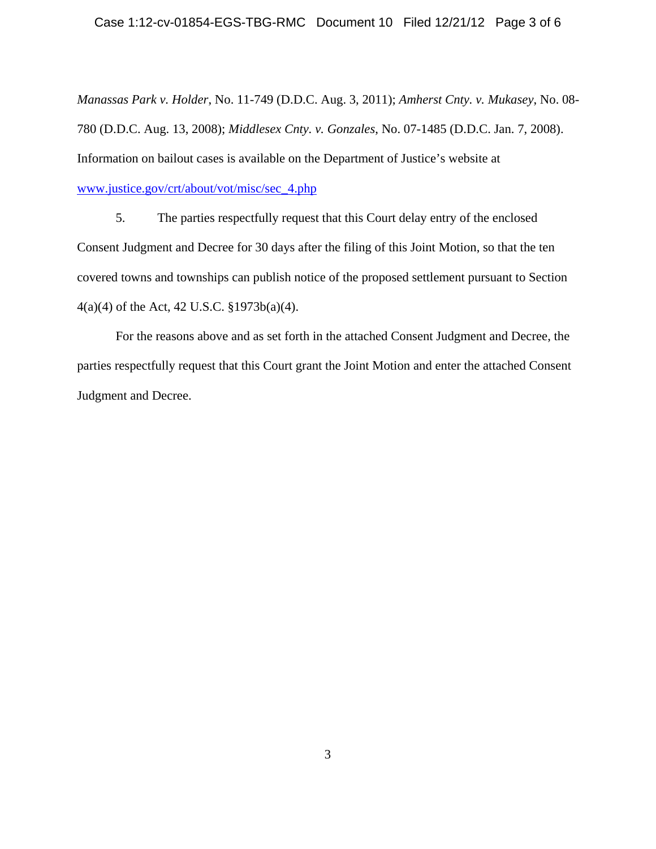### Case 1:12-cv-01854-EGS-TBG-RMC Document 10 Filed 12/21/12 Page 3 of 6

*Manassas Park v. Holder*, No. 11-749 (D.D.C. Aug. 3, 2011); *Amherst Cnty. v. Mukasey*, No. 08- 780 (D.D.C. Aug. 13, 2008); *Middlesex Cnty. v. Gonzales*, No. 07-1485 (D.D.C. Jan. 7, 2008). Information on bailout cases is available on the Department of Justice's website at www.justice.gov/crt/about/vot/misc/sec\_4.php

5. The parties respectfully request that this Court delay entry of the enclosed Consent Judgment and Decree for 30 days after the filing of this Joint Motion, so that the ten covered towns and townships can publish notice of the proposed settlement pursuant to Section 4(a)(4) of the Act, 42 U.S.C. §1973b(a)(4).

 For the reasons above and as set forth in the attached Consent Judgment and Decree, the parties respectfully request that this Court grant the Joint Motion and enter the attached Consent Judgment and Decree.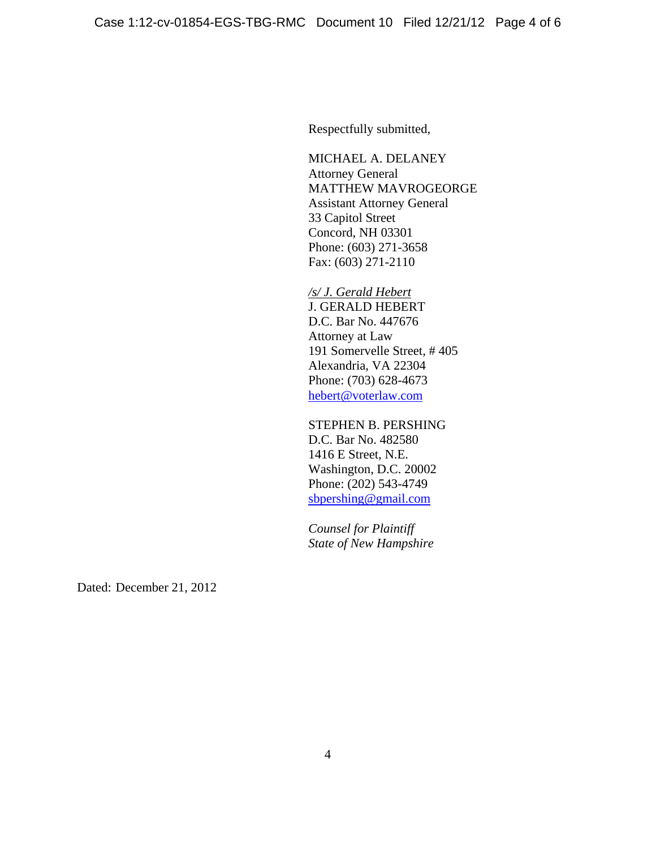Respectfully submitted,

MICHAEL A. DELANEY Attorney General MATTHEW MAVROGEORGE Assistant Attorney General 33 Capitol Street Concord, NH 03301 Phone: (603) 271-3658 Fax: (603) 271-2110

*/s/ J. Gerald Hebert* J. GERALD HEBERT D.C. Bar No. 447676 Attorney at Law 191 Somervelle Street, # 405 Alexandria, VA 22304 Phone: (703) 628-4673 hebert@voterlaw.com

STEPHEN B. PERSHING D.C. Bar No. 482580 1416 E Street, N.E. Washington, D.C. 20002 Phone: (202) 543-4749 sbpershing@gmail.com

*Counsel for Plaintiff State of New Hampshire* 

Dated: December 21, 2012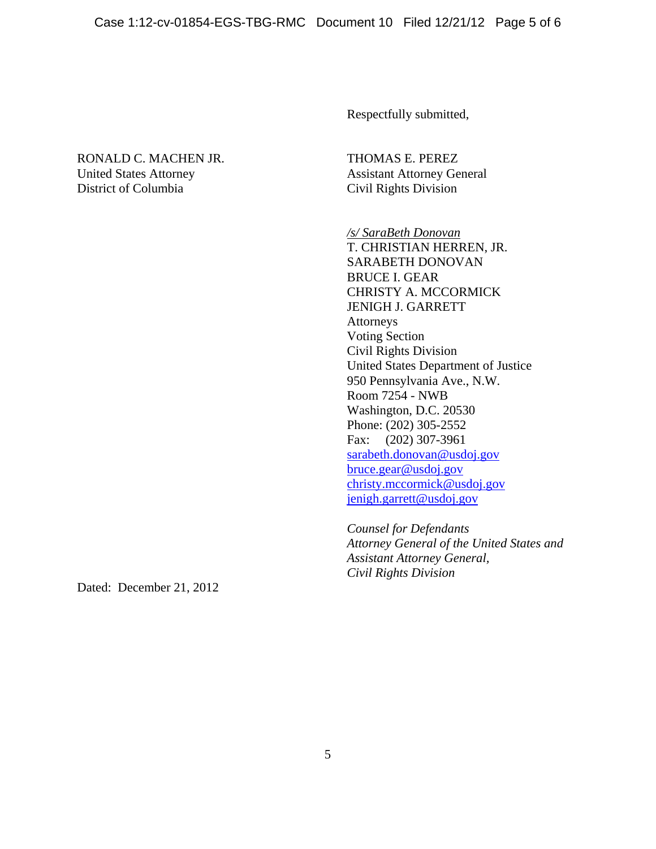Respectfully submitted,

# RONALD C. MACHEN JR. THOMAS E. PEREZ United States Attorney Assistant Attorney General District of Columbia Civil Rights Division

*/s/ SaraBeth Donovan* T. CHRISTIAN HERREN, JR. SARABETH DONOVAN BRUCE I. GEAR CHRISTY A. MCCORMICK JENIGH J. GARRETT Attorneys Voting Section Civil Rights Division United States Department of Justice 950 Pennsylvania Ave., N.W. Room 7254 - NWB Washington, D.C. 20530 Phone: (202) 305-2552 Fax: (202) 307-3961 sarabeth.donovan@usdoj.gov bruce.gear@usdoj.gov christy.mccormick@usdoj.gov jenigh.garrett@usdoj.gov

*Counsel for Defendants Attorney General of the United States and Assistant Attorney General, Civil Rights Division* 

Dated: December 21, 2012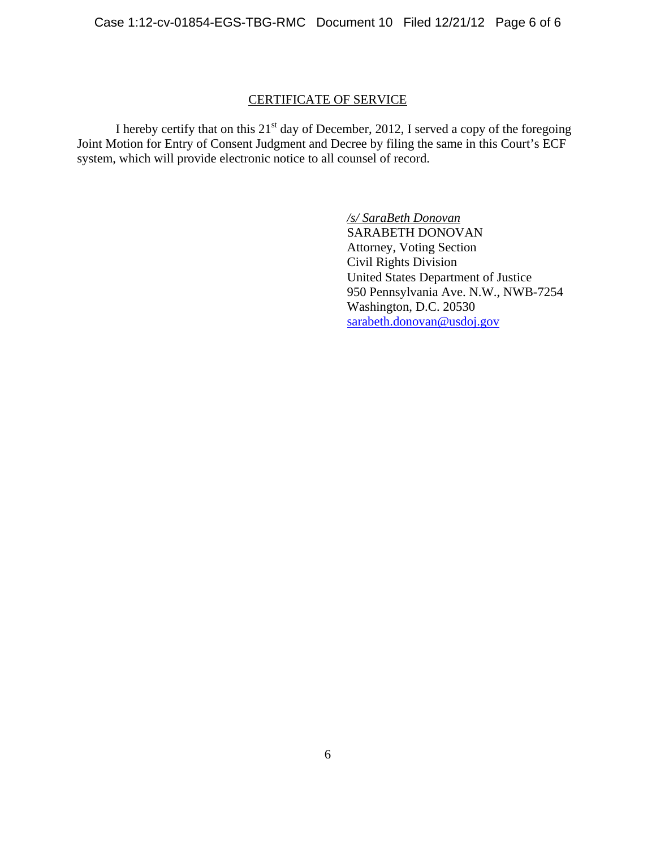## CERTIFICATE OF SERVICE

I hereby certify that on this  $21<sup>st</sup>$  day of December, 2012, I served a copy of the foregoing Joint Motion for Entry of Consent Judgment and Decree by filing the same in this Court's ECF system, which will provide electronic notice to all counsel of record.

> */s/ SaraBeth Donovan* SARABETH DONOVAN Attorney, Voting Section Civil Rights Division United States Department of Justice 950 Pennsylvania Ave. N.W., NWB-7254 Washington, D.C. 20530 sarabeth.donovan@usdoj.gov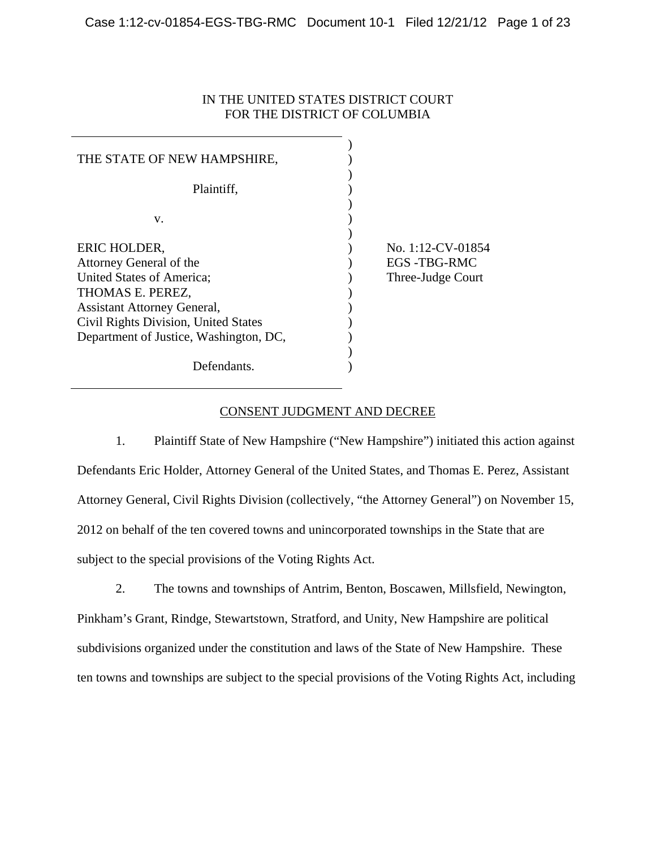# IN THE UNITED STATES DISTRICT COURT FOR THE DISTRICT OF COLUMBIA

| THE STATE OF NEW HAMPSHIRE,            |                    |
|----------------------------------------|--------------------|
| Plaintiff,                             |                    |
| V.                                     |                    |
| ERIC HOLDER,                           | No. 1:12-CV-01854  |
| Attorney General of the                | <b>EGS-TBG-RMC</b> |
| United States of America;              | Three-Judge Court  |
| THOMAS E. PEREZ,                       |                    |
| <b>Assistant Attorney General,</b>     |                    |
| Civil Rights Division, United States   |                    |
| Department of Justice, Washington, DC, |                    |
|                                        |                    |
| Defendants.                            |                    |

## CONSENT JUDGMENT AND DECREE

1. Plaintiff State of New Hampshire ("New Hampshire") initiated this action against Defendants Eric Holder, Attorney General of the United States, and Thomas E. Perez, Assistant Attorney General, Civil Rights Division (collectively, "the Attorney General") on November 15, 2012 on behalf of the ten covered towns and unincorporated townships in the State that are subject to the special provisions of the Voting Rights Act.

2. The towns and townships of Antrim, Benton, Boscawen, Millsfield, Newington, Pinkham's Grant, Rindge, Stewartstown, Stratford, and Unity, New Hampshire are political subdivisions organized under the constitution and laws of the State of New Hampshire. These ten towns and townships are subject to the special provisions of the Voting Rights Act, including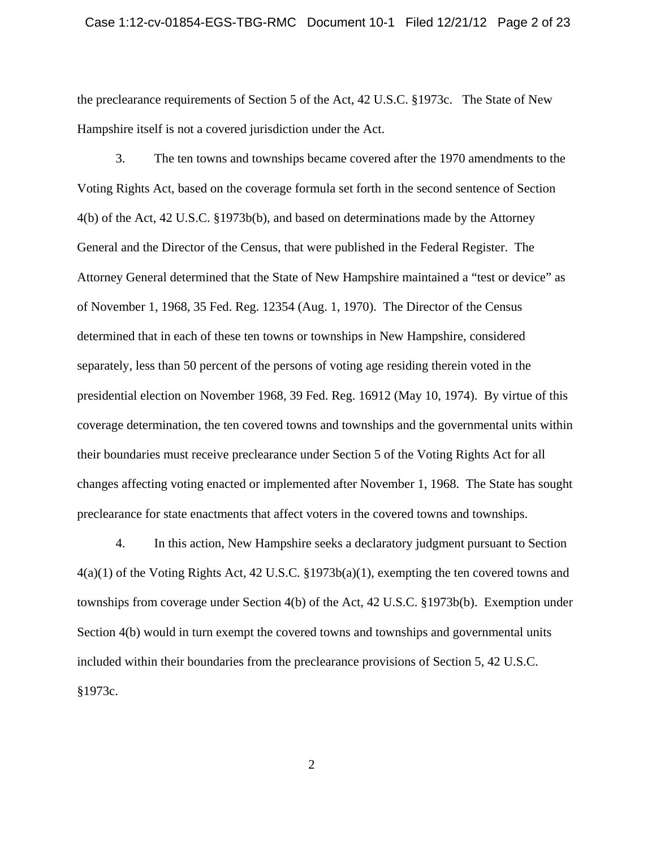the preclearance requirements of Section 5 of the Act, 42 U.S.C. §1973c. The State of New Hampshire itself is not a covered jurisdiction under the Act.

3. The ten towns and townships became covered after the 1970 amendments to the Voting Rights Act, based on the coverage formula set forth in the second sentence of Section 4(b) of the Act, 42 U.S.C. §1973b(b), and based on determinations made by the Attorney General and the Director of the Census, that were published in the Federal Register. The Attorney General determined that the State of New Hampshire maintained a "test or device" as of November 1, 1968, 35 Fed. Reg. 12354 (Aug. 1, 1970). The Director of the Census determined that in each of these ten towns or townships in New Hampshire, considered separately, less than 50 percent of the persons of voting age residing therein voted in the presidential election on November 1968, 39 Fed. Reg. 16912 (May 10, 1974). By virtue of this coverage determination, the ten covered towns and townships and the governmental units within their boundaries must receive preclearance under Section 5 of the Voting Rights Act for all changes affecting voting enacted or implemented after November 1, 1968. The State has sought preclearance for state enactments that affect voters in the covered towns and townships.

4. In this action, New Hampshire seeks a declaratory judgment pursuant to Section  $4(a)(1)$  of the Voting Rights Act, 42 U.S.C. §1973b(a)(1), exempting the ten covered towns and townships from coverage under Section 4(b) of the Act, 42 U.S.C. §1973b(b). Exemption under Section 4(b) would in turn exempt the covered towns and townships and governmental units included within their boundaries from the preclearance provisions of Section 5, 42 U.S.C. §1973c.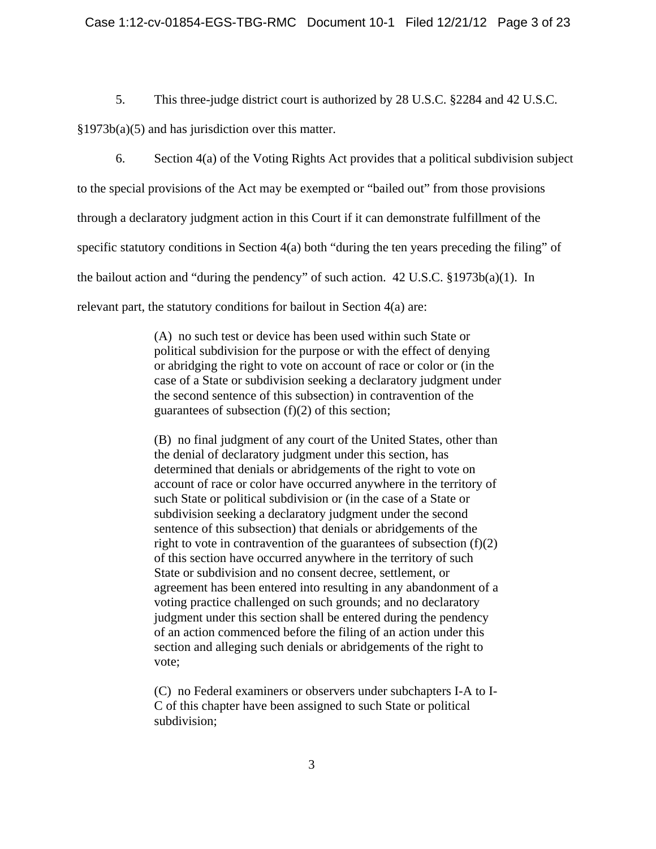5. This three-judge district court is authorized by 28 U.S.C. §2284 and 42 U.S.C.

§1973b(a)(5) and has jurisdiction over this matter.

6. Section 4(a) of the Voting Rights Act provides that a political subdivision subject to the special provisions of the Act may be exempted or "bailed out" from those provisions through a declaratory judgment action in this Court if it can demonstrate fulfillment of the specific statutory conditions in Section 4(a) both "during the ten years preceding the filing" of the bailout action and "during the pendency" of such action. 42 U.S.C. §1973b(a)(1). In relevant part, the statutory conditions for bailout in Section 4(a) are:

> (A) no such test or device has been used within such State or political subdivision for the purpose or with the effect of denying or abridging the right to vote on account of race or color or (in the case of a State or subdivision seeking a declaratory judgment under the second sentence of this subsection) in contravention of the guarantees of subsection  $(f)(2)$  of this section;

> (B) no final judgment of any court of the United States, other than the denial of declaratory judgment under this section, has determined that denials or abridgements of the right to vote on account of race or color have occurred anywhere in the territory of such State or political subdivision or (in the case of a State or subdivision seeking a declaratory judgment under the second sentence of this subsection) that denials or abridgements of the right to vote in contravention of the guarantees of subsection  $(f)(2)$ of this section have occurred anywhere in the territory of such State or subdivision and no consent decree, settlement, or agreement has been entered into resulting in any abandonment of a voting practice challenged on such grounds; and no declaratory judgment under this section shall be entered during the pendency of an action commenced before the filing of an action under this section and alleging such denials or abridgements of the right to vote;

> (C) no Federal examiners or observers under subchapters I-A to I-C of this chapter have been assigned to such State or political subdivision;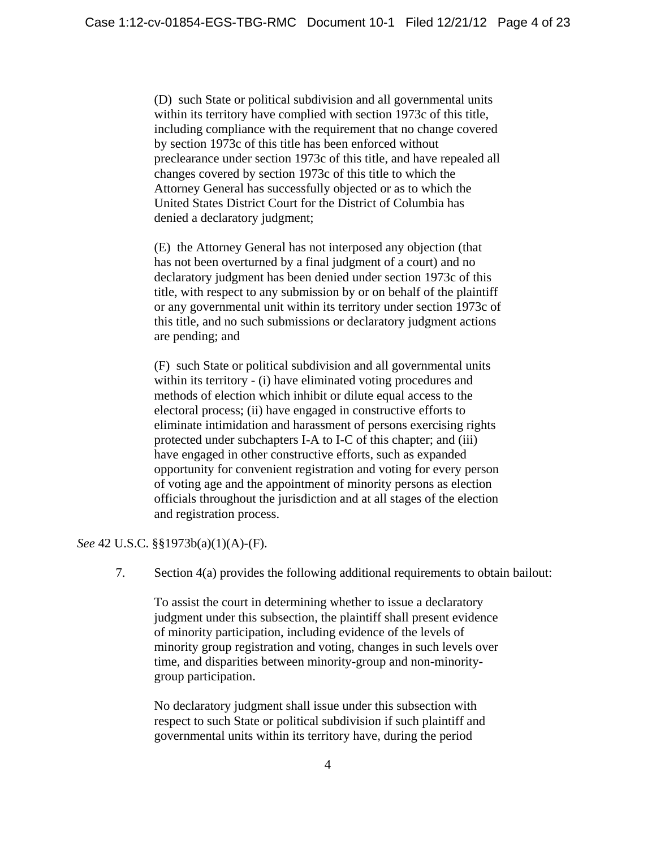(D) such State or political subdivision and all governmental units within its territory have complied with section 1973c of this title, including compliance with the requirement that no change covered by section 1973c of this title has been enforced without preclearance under section 1973c of this title, and have repealed all changes covered by section 1973c of this title to which the Attorney General has successfully objected or as to which the United States District Court for the District of Columbia has denied a declaratory judgment;

(E) the Attorney General has not interposed any objection (that has not been overturned by a final judgment of a court) and no declaratory judgment has been denied under section 1973c of this title, with respect to any submission by or on behalf of the plaintiff or any governmental unit within its territory under section 1973c of this title, and no such submissions or declaratory judgment actions are pending; and

(F) such State or political subdivision and all governmental units within its territory - (i) have eliminated voting procedures and methods of election which inhibit or dilute equal access to the electoral process; (ii) have engaged in constructive efforts to eliminate intimidation and harassment of persons exercising rights protected under subchapters I-A to I-C of this chapter; and (iii) have engaged in other constructive efforts, such as expanded opportunity for convenient registration and voting for every person of voting age and the appointment of minority persons as election officials throughout the jurisdiction and at all stages of the election and registration process.

*See* 42 U.S.C. §§1973b(a)(1)(A)-(F).

7. Section 4(a) provides the following additional requirements to obtain bailout:

To assist the court in determining whether to issue a declaratory judgment under this subsection, the plaintiff shall present evidence of minority participation, including evidence of the levels of minority group registration and voting, changes in such levels over time, and disparities between minority-group and non-minoritygroup participation.

No declaratory judgment shall issue under this subsection with respect to such State or political subdivision if such plaintiff and governmental units within its territory have, during the period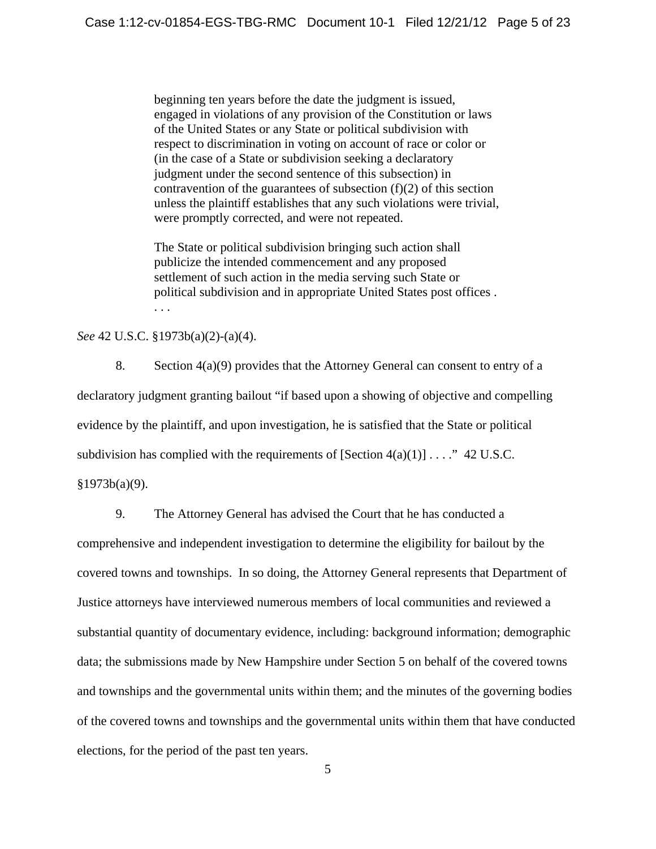beginning ten years before the date the judgment is issued, engaged in violations of any provision of the Constitution or laws of the United States or any State or political subdivision with respect to discrimination in voting on account of race or color or (in the case of a State or subdivision seeking a declaratory judgment under the second sentence of this subsection) in contravention of the guarantees of subsection  $(f)(2)$  of this section unless the plaintiff establishes that any such violations were trivial, were promptly corrected, and were not repeated.

The State or political subdivision bringing such action shall publicize the intended commencement and any proposed settlement of such action in the media serving such State or political subdivision and in appropriate United States post offices . . . .

### *See* 42 U.S.C. §1973b(a)(2)-(a)(4).

8. Section 4(a)(9) provides that the Attorney General can consent to entry of a declaratory judgment granting bailout "if based upon a showing of objective and compelling evidence by the plaintiff, and upon investigation, he is satisfied that the State or political subdivision has complied with the requirements of  $[Section 4(a)(1)] \dots$ ." 42 U.S.C. §1973b(a)(9).

9. The Attorney General has advised the Court that he has conducted a comprehensive and independent investigation to determine the eligibility for bailout by the covered towns and townships. In so doing, the Attorney General represents that Department of Justice attorneys have interviewed numerous members of local communities and reviewed a substantial quantity of documentary evidence, including: background information; demographic data; the submissions made by New Hampshire under Section 5 on behalf of the covered towns and townships and the governmental units within them; and the minutes of the governing bodies of the covered towns and townships and the governmental units within them that have conducted elections, for the period of the past ten years.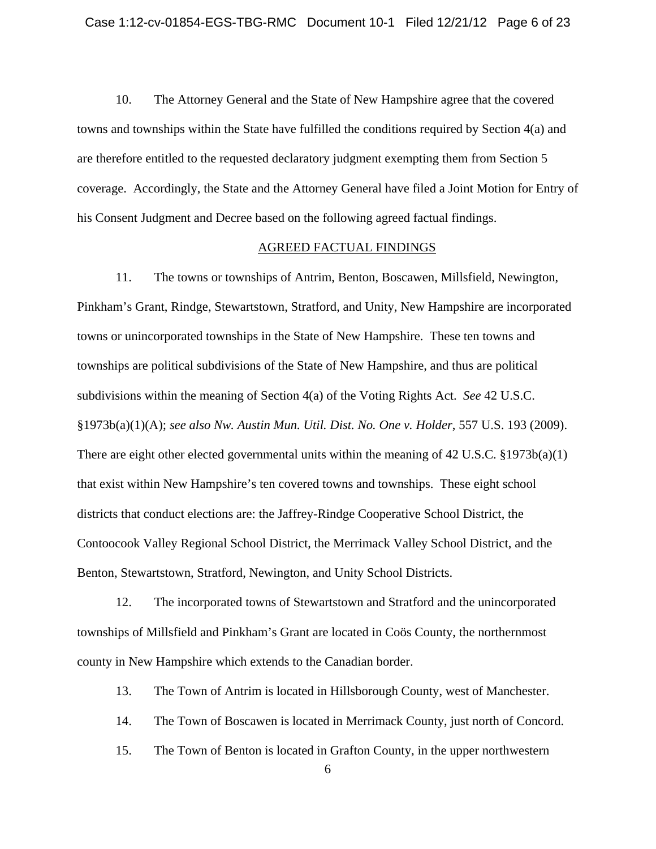10. The Attorney General and the State of New Hampshire agree that the covered towns and townships within the State have fulfilled the conditions required by Section 4(a) and are therefore entitled to the requested declaratory judgment exempting them from Section 5 coverage. Accordingly, the State and the Attorney General have filed a Joint Motion for Entry of his Consent Judgment and Decree based on the following agreed factual findings.

#### AGREED FACTUAL FINDINGS

11. The towns or townships of Antrim, Benton, Boscawen, Millsfield, Newington, Pinkham's Grant, Rindge, Stewartstown, Stratford, and Unity, New Hampshire are incorporated towns or unincorporated townships in the State of New Hampshire. These ten towns and townships are political subdivisions of the State of New Hampshire, and thus are political subdivisions within the meaning of Section 4(a) of the Voting Rights Act. *See* 42 U.S.C. §1973b(a)(1)(A); *see also Nw. Austin Mun. Util. Dist. No. One v. Holder*, 557 U.S. 193 (2009). There are eight other elected governmental units within the meaning of 42 U.S.C. §1973b(a)(1) that exist within New Hampshire's ten covered towns and townships. These eight school districts that conduct elections are: the Jaffrey-Rindge Cooperative School District, the Contoocook Valley Regional School District, the Merrimack Valley School District, and the Benton, Stewartstown, Stratford, Newington, and Unity School Districts.

12. The incorporated towns of Stewartstown and Stratford and the unincorporated townships of Millsfield and Pinkham's Grant are located in Coös County, the northernmost county in New Hampshire which extends to the Canadian border.

13. The Town of Antrim is located in Hillsborough County, west of Manchester.

14. The Town of Boscawen is located in Merrimack County, just north of Concord.

15. The Town of Benton is located in Grafton County, in the upper northwestern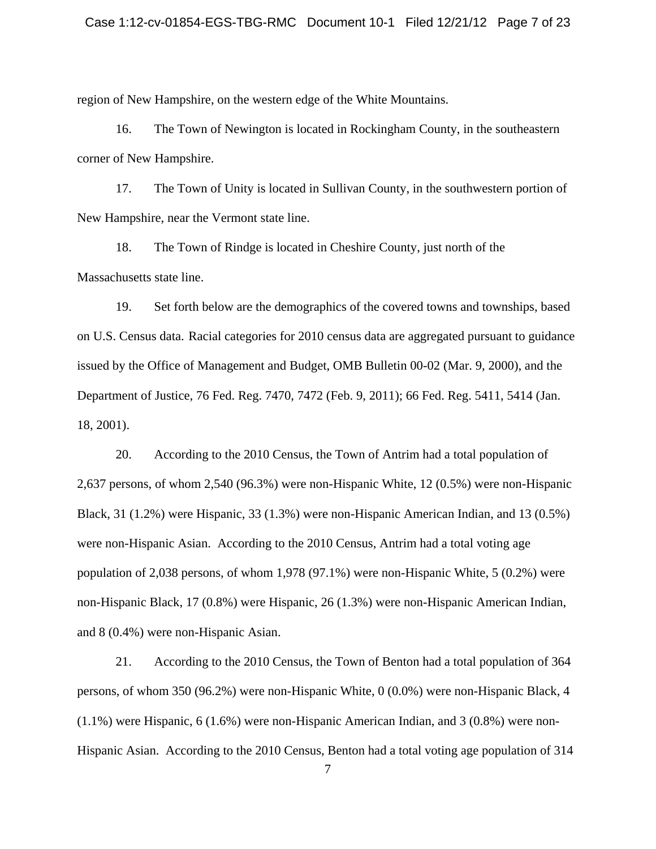region of New Hampshire, on the western edge of the White Mountains.

16. The Town of Newington is located in Rockingham County, in the southeastern corner of New Hampshire.

17. The Town of Unity is located in Sullivan County, in the southwestern portion of New Hampshire, near the Vermont state line.

18. The Town of Rindge is located in Cheshire County, just north of the Massachusetts state line.

19. Set forth below are the demographics of the covered towns and townships, based on U.S. Census data. Racial categories for 2010 census data are aggregated pursuant to guidance issued by the Office of Management and Budget, OMB Bulletin 00-02 (Mar. 9, 2000), and the Department of Justice, 76 Fed. Reg. 7470, 7472 (Feb. 9, 2011); 66 Fed. Reg. 5411, 5414 (Jan. 18, 2001).

20. According to the 2010 Census, the Town of Antrim had a total population of 2,637 persons, of whom 2,540 (96.3%) were non-Hispanic White, 12 (0.5%) were non-Hispanic Black, 31 (1.2%) were Hispanic, 33 (1.3%) were non-Hispanic American Indian, and 13 (0.5%) were non-Hispanic Asian. According to the 2010 Census, Antrim had a total voting age population of 2,038 persons, of whom 1,978 (97.1%) were non-Hispanic White, 5 (0.2%) were non-Hispanic Black, 17 (0.8%) were Hispanic, 26 (1.3%) were non-Hispanic American Indian, and 8 (0.4%) were non-Hispanic Asian.

21. According to the 2010 Census, the Town of Benton had a total population of 364 persons, of whom 350 (96.2%) were non-Hispanic White, 0 (0.0%) were non-Hispanic Black, 4 (1.1%) were Hispanic, 6 (1.6%) were non-Hispanic American Indian, and 3 (0.8%) were non-Hispanic Asian. According to the 2010 Census, Benton had a total voting age population of 314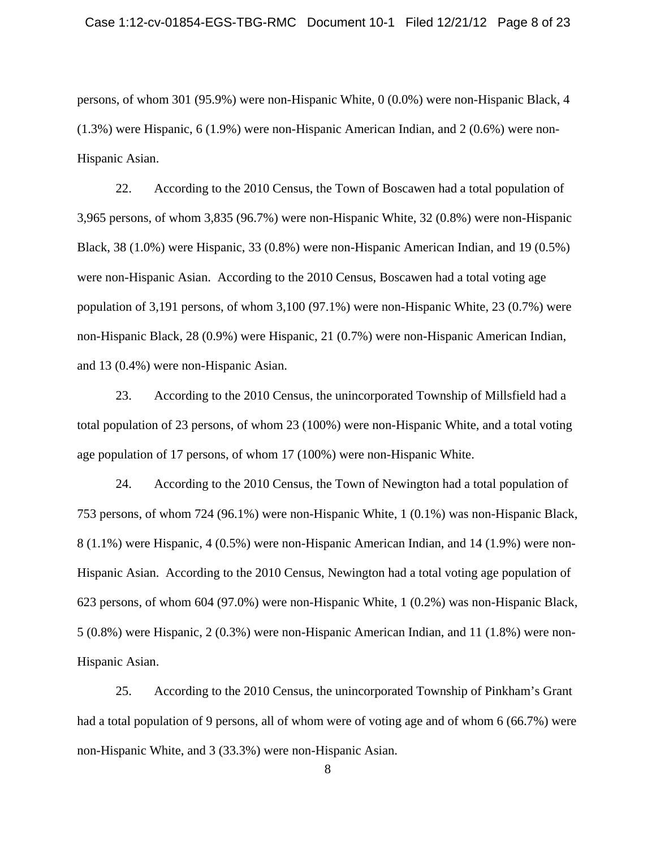persons, of whom 301 (95.9%) were non-Hispanic White, 0 (0.0%) were non-Hispanic Black, 4 (1.3%) were Hispanic, 6 (1.9%) were non-Hispanic American Indian, and 2 (0.6%) were non-Hispanic Asian.

22. According to the 2010 Census, the Town of Boscawen had a total population of 3,965 persons, of whom 3,835 (96.7%) were non-Hispanic White, 32 (0.8%) were non-Hispanic Black, 38 (1.0%) were Hispanic, 33 (0.8%) were non-Hispanic American Indian, and 19 (0.5%) were non-Hispanic Asian. According to the 2010 Census, Boscawen had a total voting age population of 3,191 persons, of whom 3,100 (97.1%) were non-Hispanic White, 23 (0.7%) were non-Hispanic Black, 28 (0.9%) were Hispanic, 21 (0.7%) were non-Hispanic American Indian, and 13 (0.4%) were non-Hispanic Asian.

23. According to the 2010 Census, the unincorporated Township of Millsfield had a total population of 23 persons, of whom 23 (100%) were non-Hispanic White, and a total voting age population of 17 persons, of whom 17 (100%) were non-Hispanic White.

24. According to the 2010 Census, the Town of Newington had a total population of 753 persons, of whom 724 (96.1%) were non-Hispanic White, 1 (0.1%) was non-Hispanic Black, 8 (1.1%) were Hispanic, 4 (0.5%) were non-Hispanic American Indian, and 14 (1.9%) were non-Hispanic Asian. According to the 2010 Census, Newington had a total voting age population of 623 persons, of whom 604 (97.0%) were non-Hispanic White, 1 (0.2%) was non-Hispanic Black, 5 (0.8%) were Hispanic, 2 (0.3%) were non-Hispanic American Indian, and 11 (1.8%) were non-Hispanic Asian.

25. According to the 2010 Census, the unincorporated Township of Pinkham's Grant had a total population of 9 persons, all of whom were of voting age and of whom 6 (66.7%) were non-Hispanic White, and 3 (33.3%) were non-Hispanic Asian.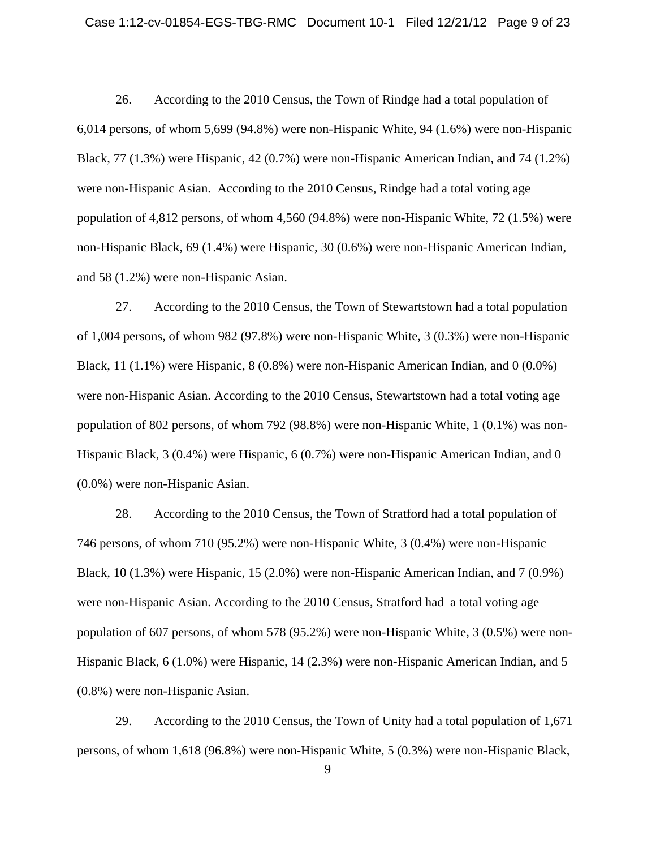### Case 1:12-cv-01854-EGS-TBG-RMC Document 10-1 Filed 12/21/12 Page 9 of 23

26. According to the 2010 Census, the Town of Rindge had a total population of 6,014 persons, of whom 5,699 (94.8%) were non-Hispanic White, 94 (1.6%) were non-Hispanic Black, 77 (1.3%) were Hispanic, 42 (0.7%) were non-Hispanic American Indian, and 74 (1.2%) were non-Hispanic Asian. According to the 2010 Census, Rindge had a total voting age population of 4,812 persons, of whom 4,560 (94.8%) were non-Hispanic White, 72 (1.5%) were non-Hispanic Black, 69 (1.4%) were Hispanic, 30 (0.6%) were non-Hispanic American Indian, and 58 (1.2%) were non-Hispanic Asian.

27. According to the 2010 Census, the Town of Stewartstown had a total population of 1,004 persons, of whom 982 (97.8%) were non-Hispanic White, 3 (0.3%) were non-Hispanic Black, 11 (1.1%) were Hispanic, 8 (0.8%) were non-Hispanic American Indian, and 0 (0.0%) were non-Hispanic Asian. According to the 2010 Census, Stewartstown had a total voting age population of 802 persons, of whom 792 (98.8%) were non-Hispanic White, 1 (0.1%) was non-Hispanic Black, 3 (0.4%) were Hispanic, 6 (0.7%) were non-Hispanic American Indian, and 0 (0.0%) were non-Hispanic Asian.

28. According to the 2010 Census, the Town of Stratford had a total population of 746 persons, of whom 710 (95.2%) were non-Hispanic White, 3 (0.4%) were non-Hispanic Black, 10 (1.3%) were Hispanic, 15 (2.0%) were non-Hispanic American Indian, and 7 (0.9%) were non-Hispanic Asian. According to the 2010 Census, Stratford had a total voting age population of 607 persons, of whom 578 (95.2%) were non-Hispanic White, 3 (0.5%) were non-Hispanic Black, 6 (1.0%) were Hispanic, 14 (2.3%) were non-Hispanic American Indian, and 5 (0.8%) were non-Hispanic Asian.

29. According to the 2010 Census, the Town of Unity had a total population of 1,671 persons, of whom 1,618 (96.8%) were non-Hispanic White, 5 (0.3%) were non-Hispanic Black,

 <sup>9</sup>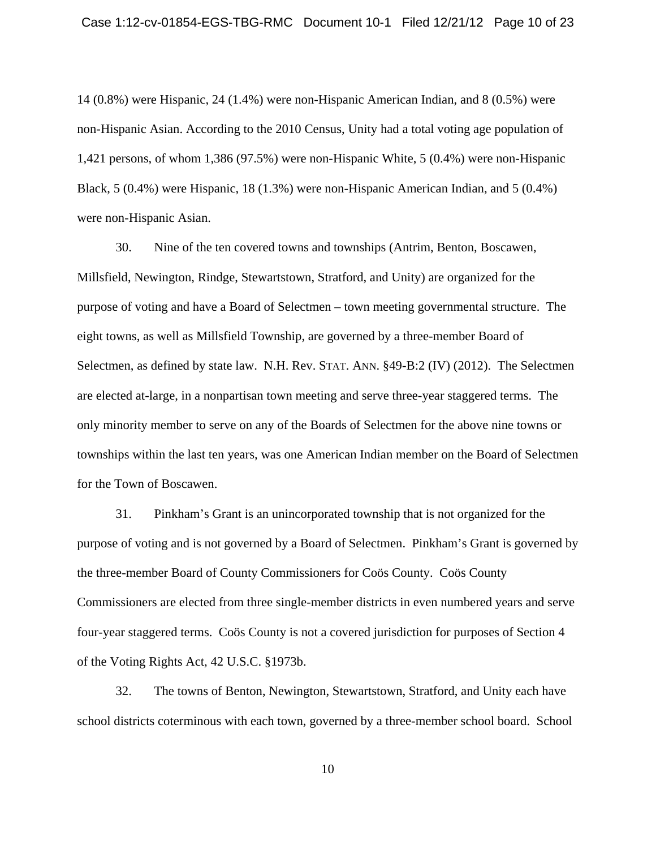14 (0.8%) were Hispanic, 24 (1.4%) were non-Hispanic American Indian, and 8 (0.5%) were non-Hispanic Asian. According to the 2010 Census, Unity had a total voting age population of 1,421 persons, of whom 1,386 (97.5%) were non-Hispanic White, 5 (0.4%) were non-Hispanic Black, 5 (0.4%) were Hispanic, 18 (1.3%) were non-Hispanic American Indian, and 5 (0.4%) were non-Hispanic Asian.

30. Nine of the ten covered towns and townships (Antrim, Benton, Boscawen, Millsfield, Newington, Rindge, Stewartstown, Stratford, and Unity) are organized for the purpose of voting and have a Board of Selectmen – town meeting governmental structure. The eight towns, as well as Millsfield Township, are governed by a three-member Board of Selectmen, as defined by state law. N.H. Rev. STAT. ANN. §49-B:2 (IV) (2012). The Selectmen are elected at-large, in a nonpartisan town meeting and serve three-year staggered terms. The only minority member to serve on any of the Boards of Selectmen for the above nine towns or townships within the last ten years, was one American Indian member on the Board of Selectmen for the Town of Boscawen.

31. Pinkham's Grant is an unincorporated township that is not organized for the purpose of voting and is not governed by a Board of Selectmen. Pinkham's Grant is governed by the three-member Board of County Commissioners for Coös County. Coös County Commissioners are elected from three single-member districts in even numbered years and serve four-year staggered terms. Coös County is not a covered jurisdiction for purposes of Section 4 of the Voting Rights Act, 42 U.S.C. §1973b.

32. The towns of Benton, Newington, Stewartstown, Stratford, and Unity each have school districts coterminous with each town, governed by a three-member school board. School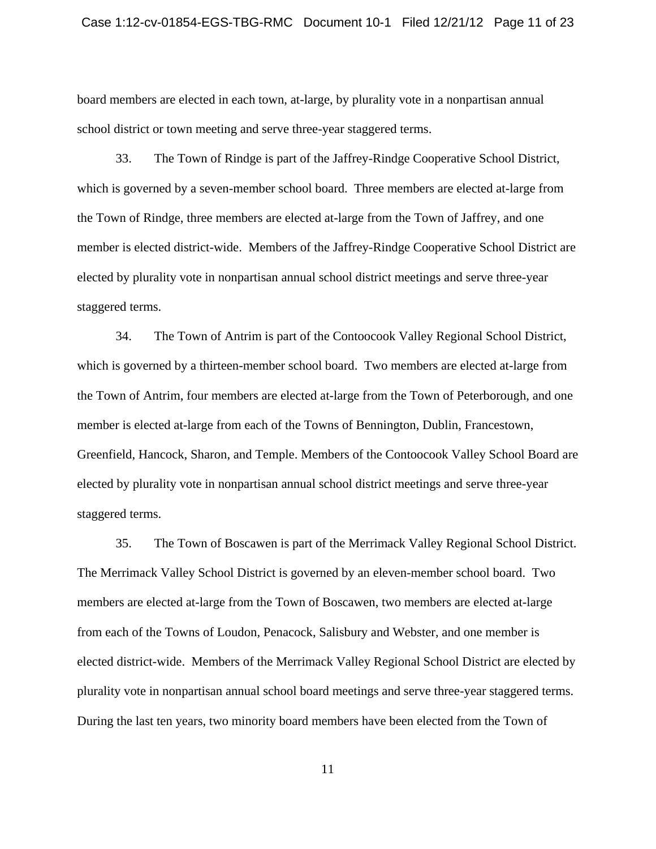### Case 1:12-cv-01854-EGS-TBG-RMC Document 10-1 Filed 12/21/12 Page 11 of 23

board members are elected in each town, at-large, by plurality vote in a nonpartisan annual school district or town meeting and serve three-year staggered terms.

33. The Town of Rindge is part of the Jaffrey-Rindge Cooperative School District, which is governed by a seven-member school board. Three members are elected at-large from the Town of Rindge, three members are elected at-large from the Town of Jaffrey, and one member is elected district-wide. Members of the Jaffrey-Rindge Cooperative School District are elected by plurality vote in nonpartisan annual school district meetings and serve three-year staggered terms.

34. The Town of Antrim is part of the Contoocook Valley Regional School District, which is governed by a thirteen-member school board. Two members are elected at-large from the Town of Antrim, four members are elected at-large from the Town of Peterborough, and one member is elected at-large from each of the Towns of Bennington, Dublin, Francestown, Greenfield, Hancock, Sharon, and Temple. Members of the Contoocook Valley School Board are elected by plurality vote in nonpartisan annual school district meetings and serve three-year staggered terms.

35. The Town of Boscawen is part of the Merrimack Valley Regional School District. The Merrimack Valley School District is governed by an eleven-member school board. Two members are elected at-large from the Town of Boscawen, two members are elected at-large from each of the Towns of Loudon, Penacock, Salisbury and Webster, and one member is elected district-wide. Members of the Merrimack Valley Regional School District are elected by plurality vote in nonpartisan annual school board meetings and serve three-year staggered terms. During the last ten years, two minority board members have been elected from the Town of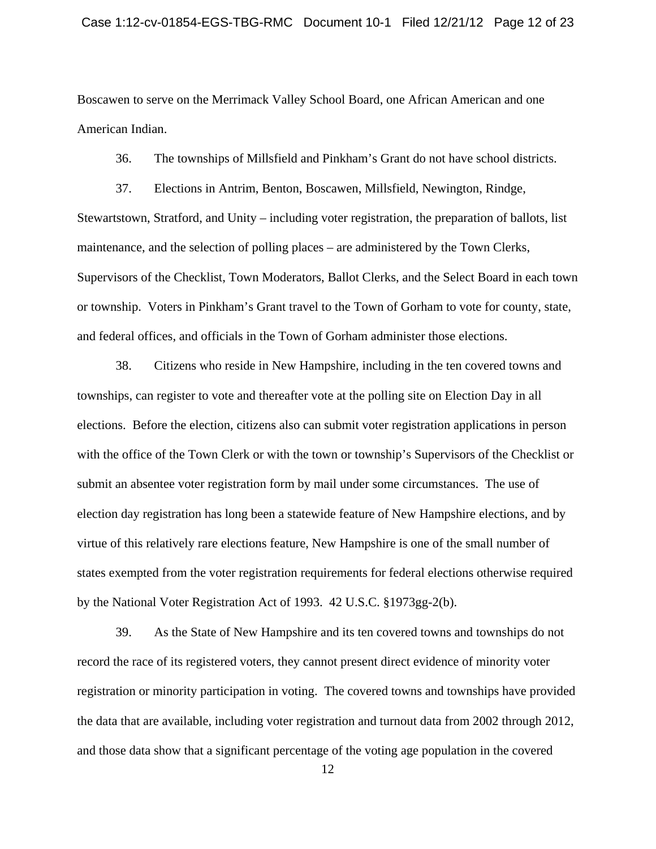Boscawen to serve on the Merrimack Valley School Board, one African American and one American Indian.

36. The townships of Millsfield and Pinkham's Grant do not have school districts.

37. Elections in Antrim, Benton, Boscawen, Millsfield, Newington, Rindge, Stewartstown, Stratford, and Unity – including voter registration, the preparation of ballots, list maintenance, and the selection of polling places – are administered by the Town Clerks, Supervisors of the Checklist, Town Moderators, Ballot Clerks, and the Select Board in each town or township. Voters in Pinkham's Grant travel to the Town of Gorham to vote for county, state, and federal offices, and officials in the Town of Gorham administer those elections.

38. Citizens who reside in New Hampshire, including in the ten covered towns and townships, can register to vote and thereafter vote at the polling site on Election Day in all elections. Before the election, citizens also can submit voter registration applications in person with the office of the Town Clerk or with the town or township's Supervisors of the Checklist or submit an absentee voter registration form by mail under some circumstances. The use of election day registration has long been a statewide feature of New Hampshire elections, and by virtue of this relatively rare elections feature, New Hampshire is one of the small number of states exempted from the voter registration requirements for federal elections otherwise required by the National Voter Registration Act of 1993. 42 U.S.C. §1973gg-2(b).

39. As the State of New Hampshire and its ten covered towns and townships do not record the race of its registered voters, they cannot present direct evidence of minority voter registration or minority participation in voting. The covered towns and townships have provided the data that are available, including voter registration and turnout data from 2002 through 2012, and those data show that a significant percentage of the voting age population in the covered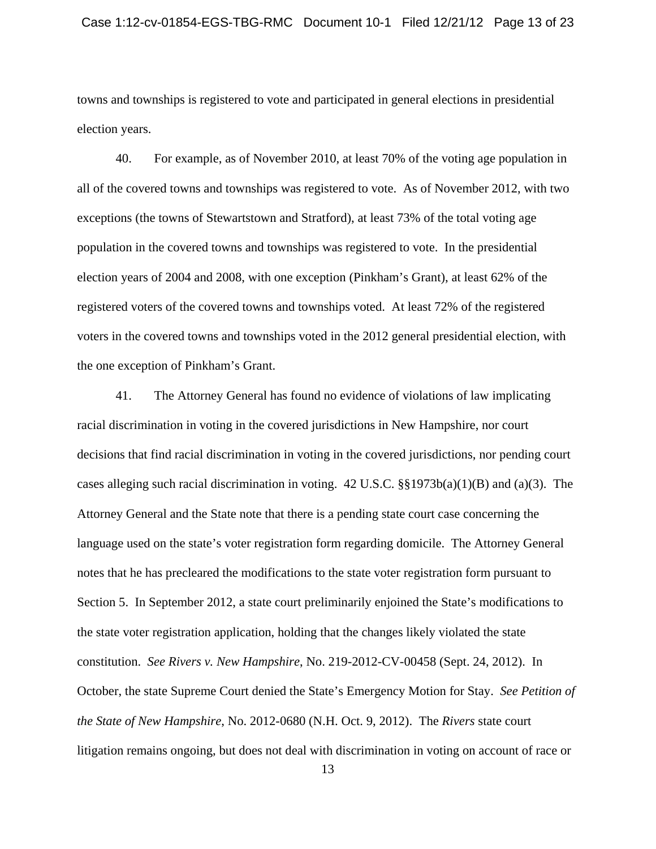towns and townships is registered to vote and participated in general elections in presidential election years.

40. For example, as of November 2010, at least 70% of the voting age population in all of the covered towns and townships was registered to vote. As of November 2012, with two exceptions (the towns of Stewartstown and Stratford), at least 73% of the total voting age population in the covered towns and townships was registered to vote. In the presidential election years of 2004 and 2008, with one exception (Pinkham's Grant), at least 62% of the registered voters of the covered towns and townships voted. At least 72% of the registered voters in the covered towns and townships voted in the 2012 general presidential election, with the one exception of Pinkham's Grant.

41. The Attorney General has found no evidence of violations of law implicating racial discrimination in voting in the covered jurisdictions in New Hampshire, nor court decisions that find racial discrimination in voting in the covered jurisdictions, nor pending court cases alleging such racial discrimination in voting. 42 U.S.C. §§1973b(a)(1)(B) and (a)(3). The Attorney General and the State note that there is a pending state court case concerning the language used on the state's voter registration form regarding domicile. The Attorney General notes that he has precleared the modifications to the state voter registration form pursuant to Section 5. In September 2012, a state court preliminarily enjoined the State's modifications to the state voter registration application, holding that the changes likely violated the state constitution. *See Rivers v. New Hampshire*, No. 219-2012-CV-00458 (Sept. 24, 2012). In October, the state Supreme Court denied the State's Emergency Motion for Stay. *See Petition of the State of New Hampshire*, No. 2012-0680 (N.H. Oct. 9, 2012). The *Rivers* state court litigation remains ongoing, but does not deal with discrimination in voting on account of race or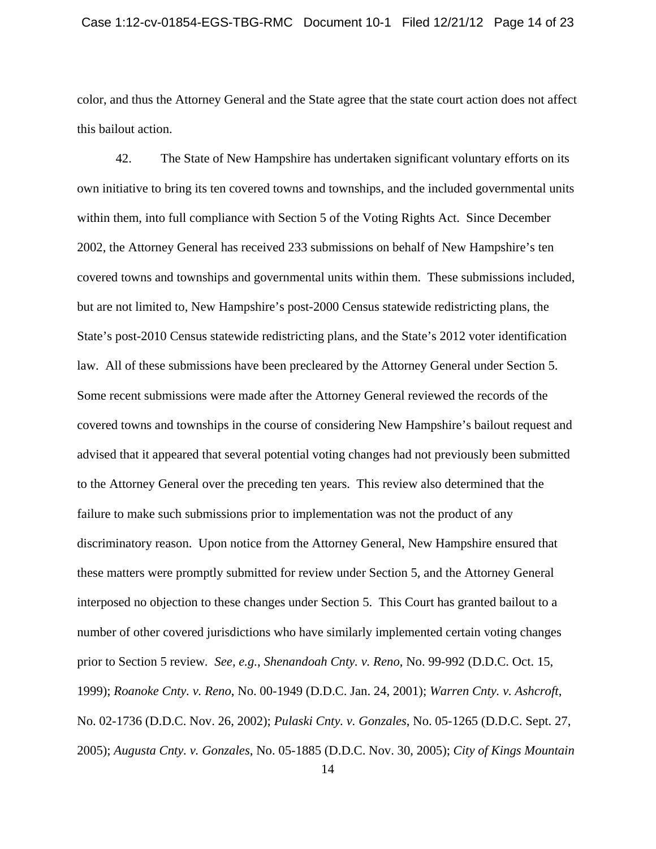color, and thus the Attorney General and the State agree that the state court action does not affect this bailout action.

42. The State of New Hampshire has undertaken significant voluntary efforts on its own initiative to bring its ten covered towns and townships, and the included governmental units within them, into full compliance with Section 5 of the Voting Rights Act. Since December 2002, the Attorney General has received 233 submissions on behalf of New Hampshire's ten covered towns and townships and governmental units within them. These submissions included, but are not limited to, New Hampshire's post-2000 Census statewide redistricting plans, the State's post-2010 Census statewide redistricting plans, and the State's 2012 voter identification law. All of these submissions have been precleared by the Attorney General under Section 5. Some recent submissions were made after the Attorney General reviewed the records of the covered towns and townships in the course of considering New Hampshire's bailout request and advised that it appeared that several potential voting changes had not previously been submitted to the Attorney General over the preceding ten years. This review also determined that the failure to make such submissions prior to implementation was not the product of any discriminatory reason. Upon notice from the Attorney General, New Hampshire ensured that these matters were promptly submitted for review under Section 5, and the Attorney General interposed no objection to these changes under Section 5. This Court has granted bailout to a number of other covered jurisdictions who have similarly implemented certain voting changes prior to Section 5 review*. See, e.g.*, *Shenandoah Cnty. v. Reno*, No. 99-992 (D.D.C. Oct. 15, 1999); *Roanoke Cnty. v. Reno*, No. 00-1949 (D.D.C. Jan. 24, 2001); *Warren Cnty. v. Ashcroft*, No. 02-1736 (D.D.C. Nov. 26, 2002); *Pulaski Cnty. v. Gonzales*, No. 05-1265 (D.D.C. Sept. 27, 2005); *Augusta Cnty. v. Gonzales*, No. 05-1885 (D.D.C. Nov. 30, 2005); *City of Kings Mountain*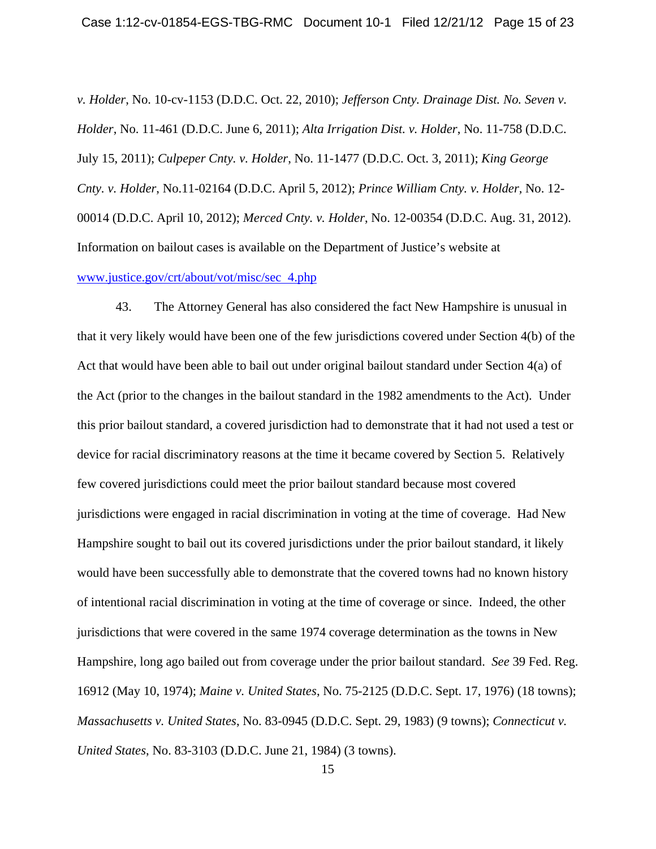*v. Holder*, No. 10-cv-1153 (D.D.C. Oct. 22, 2010); *Jefferson Cnty. Drainage Dist. No. Seven v. Holder*, No. 11-461 (D.D.C. June 6, 2011); *Alta Irrigation Dist. v. Holder*, No. 11-758 (D.D.C. July 15, 2011); *Culpeper Cnty. v. Holder*, No. 11-1477 (D.D.C. Oct. 3, 2011); *King George Cnty. v. Holder*, No.11-02164 (D.D.C. April 5, 2012); *Prince William Cnty. v. Holder,* No. 12- 00014 (D.D.C. April 10, 2012); *Merced Cnty. v. Holder*, No. 12-00354 (D.D.C. Aug. 31, 2012). Information on bailout cases is available on the Department of Justice's website at www.justice.gov/crt/about/vot/misc/sec 4.php

43. The Attorney General has also considered the fact New Hampshire is unusual in that it very likely would have been one of the few jurisdictions covered under Section 4(b) of the Act that would have been able to bail out under original bailout standard under Section 4(a) of the Act (prior to the changes in the bailout standard in the 1982 amendments to the Act). Under this prior bailout standard, a covered jurisdiction had to demonstrate that it had not used a test or device for racial discriminatory reasons at the time it became covered by Section 5. Relatively few covered jurisdictions could meet the prior bailout standard because most covered jurisdictions were engaged in racial discrimination in voting at the time of coverage. Had New Hampshire sought to bail out its covered jurisdictions under the prior bailout standard, it likely would have been successfully able to demonstrate that the covered towns had no known history of intentional racial discrimination in voting at the time of coverage or since. Indeed, the other jurisdictions that were covered in the same 1974 coverage determination as the towns in New Hampshire, long ago bailed out from coverage under the prior bailout standard. *See* 39 Fed. Reg. 16912 (May 10, 1974); *Maine v. United States*, No. 75-2125 (D.D.C. Sept. 17, 1976) (18 towns); *Massachusetts v. United States*, No. 83-0945 (D.D.C. Sept. 29, 1983) (9 towns); *Connecticut v. United States*, No. 83-3103 (D.D.C. June 21, 1984) (3 towns).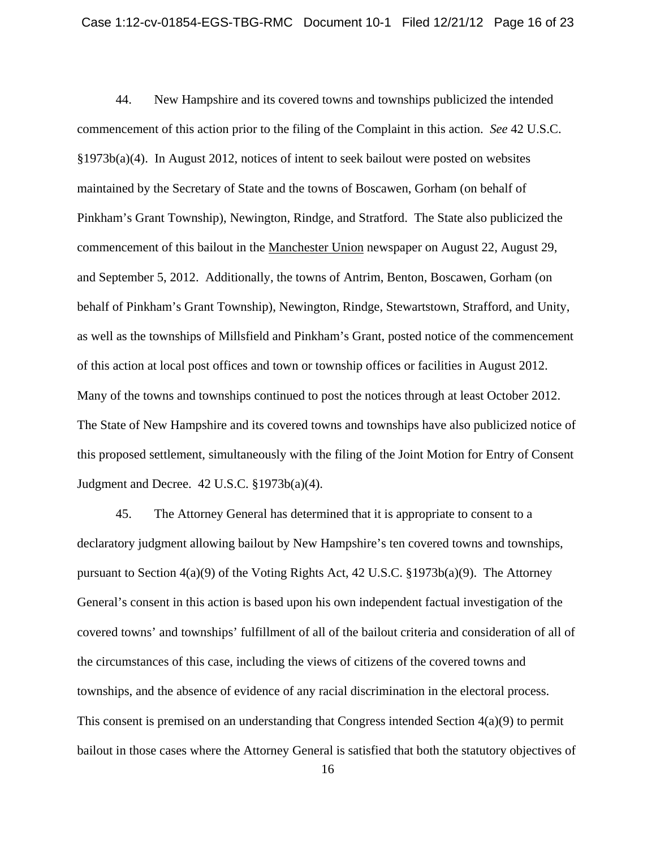44. New Hampshire and its covered towns and townships publicized the intended commencement of this action prior to the filing of the Complaint in this action. *See* 42 U.S.C. §1973b(a)(4). In August 2012, notices of intent to seek bailout were posted on websites maintained by the Secretary of State and the towns of Boscawen, Gorham (on behalf of Pinkham's Grant Township), Newington, Rindge, and Stratford. The State also publicized the commencement of this bailout in the Manchester Union newspaper on August 22, August 29, and September 5, 2012. Additionally, the towns of Antrim, Benton, Boscawen, Gorham (on behalf of Pinkham's Grant Township), Newington, Rindge, Stewartstown, Strafford, and Unity, as well as the townships of Millsfield and Pinkham's Grant, posted notice of the commencement of this action at local post offices and town or township offices or facilities in August 2012. Many of the towns and townships continued to post the notices through at least October 2012. The State of New Hampshire and its covered towns and townships have also publicized notice of this proposed settlement, simultaneously with the filing of the Joint Motion for Entry of Consent Judgment and Decree. 42 U.S.C. §1973b(a)(4).

45. The Attorney General has determined that it is appropriate to consent to a declaratory judgment allowing bailout by New Hampshire's ten covered towns and townships, pursuant to Section 4(a)(9) of the Voting Rights Act, 42 U.S.C. §1973b(a)(9). The Attorney General's consent in this action is based upon his own independent factual investigation of the covered towns' and townships' fulfillment of all of the bailout criteria and consideration of all of the circumstances of this case, including the views of citizens of the covered towns and townships, and the absence of evidence of any racial discrimination in the electoral process. This consent is premised on an understanding that Congress intended Section 4(a)(9) to permit bailout in those cases where the Attorney General is satisfied that both the statutory objectives of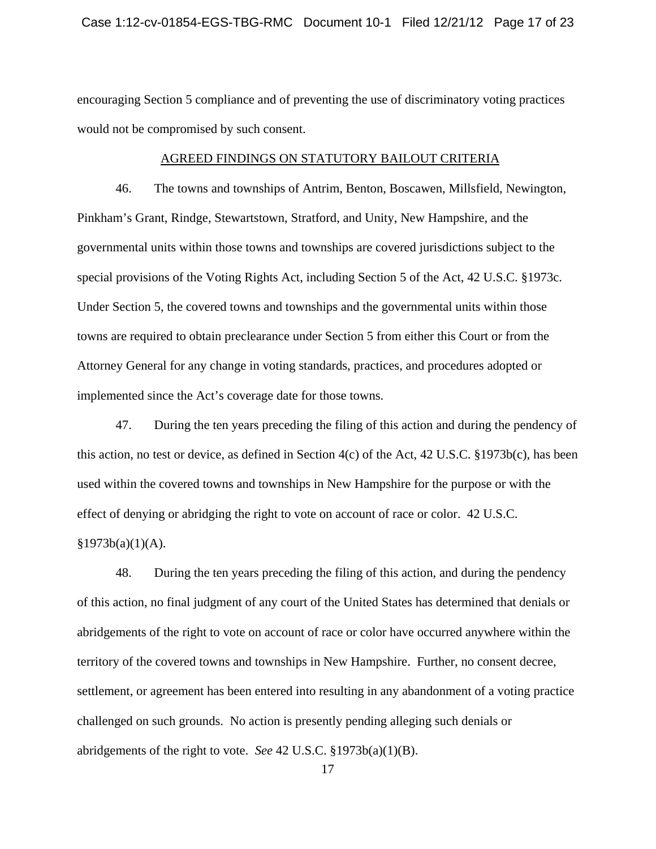encouraging Section 5 compliance and of preventing the use of discriminatory voting practices would not be compromised by such consent.

### AGREED FINDINGS ON STATUTORY BAILOUT CRITERIA

46. The towns and townships of Antrim, Benton, Boscawen, Millsfield, Newington, Pinkham's Grant, Rindge, Stewartstown, Stratford, and Unity, New Hampshire, and the governmental units within those towns and townships are covered jurisdictions subject to the special provisions of the Voting Rights Act, including Section 5 of the Act, 42 U.S.C. §1973c. Under Section 5, the covered towns and townships and the governmental units within those towns are required to obtain preclearance under Section 5 from either this Court or from the Attorney General for any change in voting standards, practices, and procedures adopted or implemented since the Act's coverage date for those towns.

47. During the ten years preceding the filing of this action and during the pendency of this action, no test or device, as defined in Section 4(c) of the Act, 42 U.S.C. §1973b(c), has been used within the covered towns and townships in New Hampshire for the purpose or with the effect of denying or abridging the right to vote on account of race or color. 42 U.S.C.

 $§1973b(a)(1)(A).$ 

48. During the ten years preceding the filing of this action, and during the pendency of this action, no final judgment of any court of the United States has determined that denials or abridgements of the right to vote on account of race or color have occurred anywhere within the territory of the covered towns and townships in New Hampshire. Further, no consent decree, settlement, or agreement has been entered into resulting in any abandonment of a voting practice challenged on such grounds. No action is presently pending alleging such denials or abridgements of the right to vote. *See* 42 U.S.C. §1973b(a)(1)(B).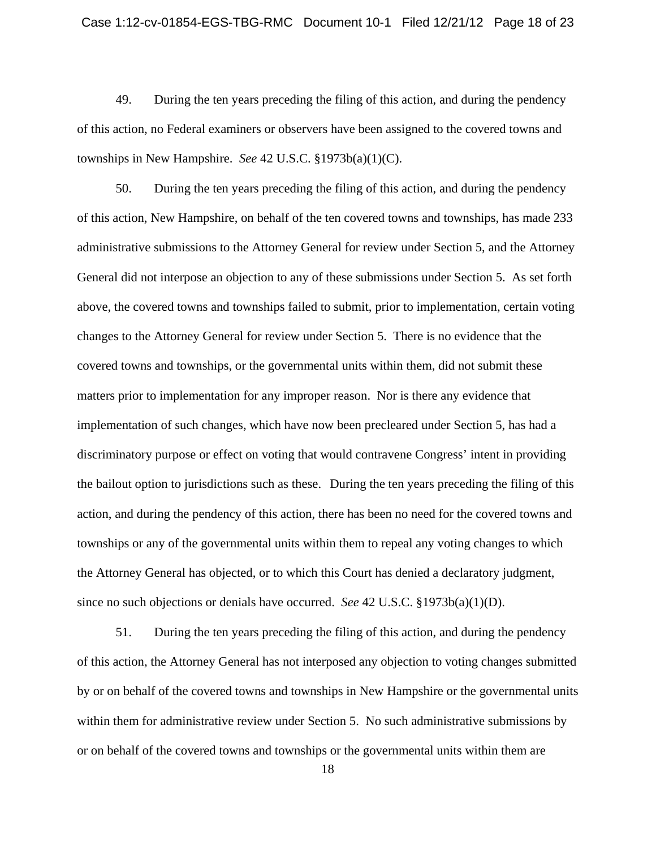49. During the ten years preceding the filing of this action, and during the pendency of this action, no Federal examiners or observers have been assigned to the covered towns and townships in New Hampshire. *See* 42 U.S.C. §1973b(a)(1)(C).

50. During the ten years preceding the filing of this action, and during the pendency of this action, New Hampshire, on behalf of the ten covered towns and townships, has made 233 administrative submissions to the Attorney General for review under Section 5, and the Attorney General did not interpose an objection to any of these submissions under Section 5. As set forth above, the covered towns and townships failed to submit, prior to implementation, certain voting changes to the Attorney General for review under Section 5. There is no evidence that the covered towns and townships, or the governmental units within them, did not submit these matters prior to implementation for any improper reason. Nor is there any evidence that implementation of such changes, which have now been precleared under Section 5, has had a discriminatory purpose or effect on voting that would contravene Congress' intent in providing the bailout option to jurisdictions such as these. During the ten years preceding the filing of this action, and during the pendency of this action, there has been no need for the covered towns and townships or any of the governmental units within them to repeal any voting changes to which the Attorney General has objected, or to which this Court has denied a declaratory judgment, since no such objections or denials have occurred. *See* 42 U.S.C. §1973b(a)(1)(D).

51. During the ten years preceding the filing of this action, and during the pendency of this action, the Attorney General has not interposed any objection to voting changes submitted by or on behalf of the covered towns and townships in New Hampshire or the governmental units within them for administrative review under Section 5. No such administrative submissions by or on behalf of the covered towns and townships or the governmental units within them are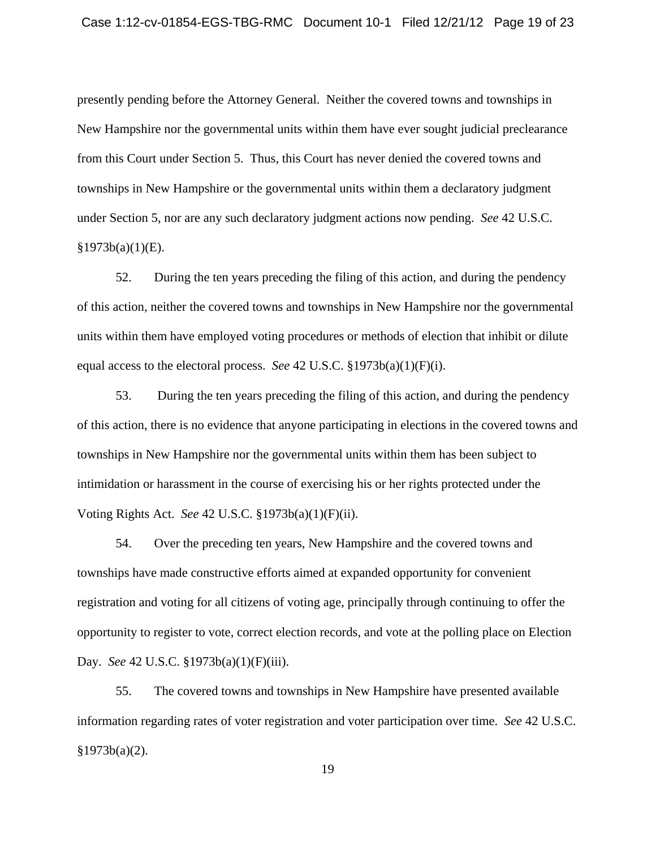presently pending before the Attorney General. Neither the covered towns and townships in New Hampshire nor the governmental units within them have ever sought judicial preclearance from this Court under Section 5. Thus, this Court has never denied the covered towns and townships in New Hampshire or the governmental units within them a declaratory judgment under Section 5, nor are any such declaratory judgment actions now pending. *See* 42 U.S.C.  $§1973b(a)(1)(E).$ 

52. During the ten years preceding the filing of this action, and during the pendency of this action, neither the covered towns and townships in New Hampshire nor the governmental units within them have employed voting procedures or methods of election that inhibit or dilute equal access to the electoral process. *See* 42 U.S.C. §1973b(a)(1)(F)(i).

53. During the ten years preceding the filing of this action, and during the pendency of this action, there is no evidence that anyone participating in elections in the covered towns and townships in New Hampshire nor the governmental units within them has been subject to intimidation or harassment in the course of exercising his or her rights protected under the Voting Rights Act. *See* 42 U.S.C. §1973b(a)(1)(F)(ii).

54. Over the preceding ten years, New Hampshire and the covered towns and townships have made constructive efforts aimed at expanded opportunity for convenient registration and voting for all citizens of voting age, principally through continuing to offer the opportunity to register to vote, correct election records, and vote at the polling place on Election Day. *See* 42 U.S.C. §1973b(a)(1)(F)(iii).

55. The covered towns and townships in New Hampshire have presented available information regarding rates of voter registration and voter participation over time. *See* 42 U.S.C.  $§1973b(a)(2)$ .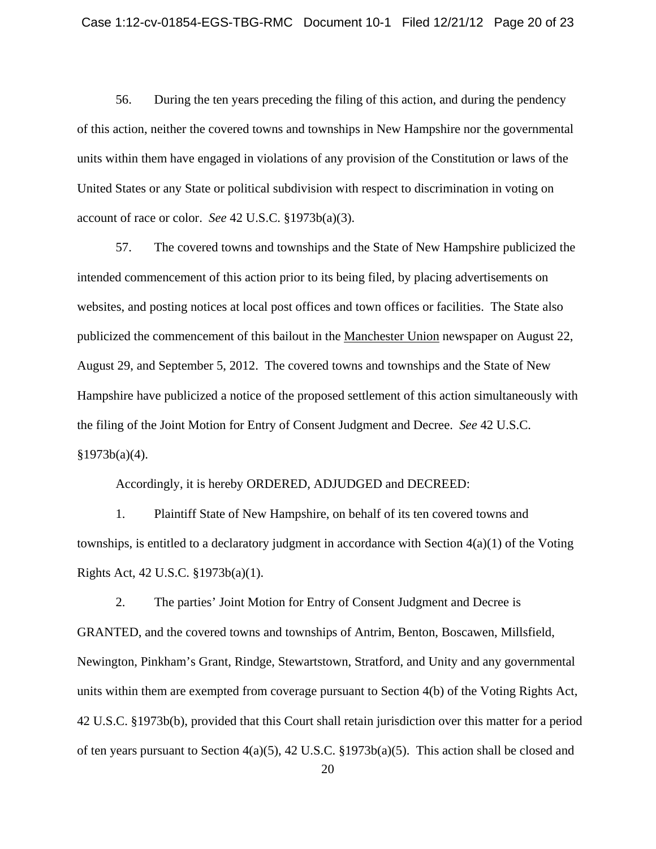56. During the ten years preceding the filing of this action, and during the pendency of this action, neither the covered towns and townships in New Hampshire nor the governmental units within them have engaged in violations of any provision of the Constitution or laws of the United States or any State or political subdivision with respect to discrimination in voting on account of race or color. *See* 42 U.S.C. §1973b(a)(3).

57. The covered towns and townships and the State of New Hampshire publicized the intended commencement of this action prior to its being filed, by placing advertisements on websites, and posting notices at local post offices and town offices or facilities. The State also publicized the commencement of this bailout in the Manchester Union newspaper on August 22, August 29, and September 5, 2012. The covered towns and townships and the State of New Hampshire have publicized a notice of the proposed settlement of this action simultaneously with the filing of the Joint Motion for Entry of Consent Judgment and Decree. *See* 42 U.S.C.  $§1973b(a)(4).$ 

Accordingly, it is hereby ORDERED, ADJUDGED and DECREED:

1. Plaintiff State of New Hampshire, on behalf of its ten covered towns and townships, is entitled to a declaratory judgment in accordance with Section 4(a)(1) of the Voting Rights Act, 42 U.S.C. §1973b(a)(1).

2. The parties' Joint Motion for Entry of Consent Judgment and Decree is GRANTED, and the covered towns and townships of Antrim, Benton, Boscawen, Millsfield, Newington, Pinkham's Grant, Rindge, Stewartstown, Stratford, and Unity and any governmental units within them are exempted from coverage pursuant to Section 4(b) of the Voting Rights Act, 42 U.S.C. §1973b(b), provided that this Court shall retain jurisdiction over this matter for a period of ten years pursuant to Section 4(a)(5), 42 U.S.C. §1973b(a)(5). This action shall be closed and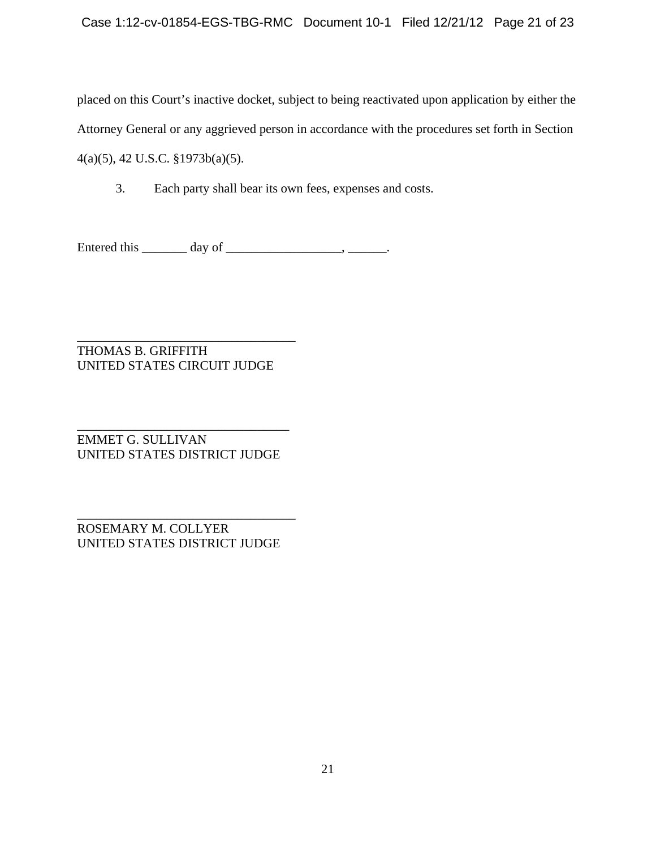placed on this Court's inactive docket, subject to being reactivated upon application by either the Attorney General or any aggrieved person in accordance with the procedures set forth in Section 4(a)(5), 42 U.S.C. §1973b(a)(5).

3. Each party shall bear its own fees, expenses and costs.

Entered this  $\_\_\_\_$  day of  $\_\_\_\_\_\_\_\_$ .

\_\_\_\_\_\_\_\_\_\_\_\_\_\_\_\_\_\_\_\_\_\_\_\_\_\_\_\_\_\_\_\_\_\_ THOMAS B. GRIFFITH UNITED STATES CIRCUIT JUDGE

\_\_\_\_\_\_\_\_\_\_\_\_\_\_\_\_\_\_\_\_\_\_\_\_\_\_\_\_\_\_\_\_\_ EMMET G. SULLIVAN UNITED STATES DISTRICT JUDGE

\_\_\_\_\_\_\_\_\_\_\_\_\_\_\_\_\_\_\_\_\_\_\_\_\_\_\_\_\_\_\_\_\_\_ ROSEMARY M. COLLYER UNITED STATES DISTRICT JUDGE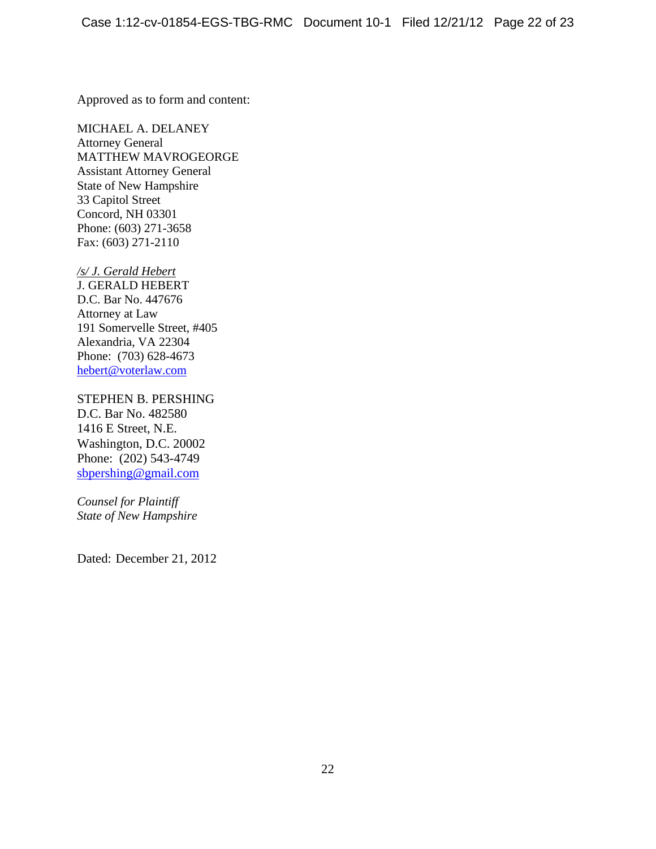Approved as to form and content:

MICHAEL A. DELANEY Attorney General MATTHEW MAVROGEORGE Assistant Attorney General State of New Hampshire 33 Capitol Street Concord, NH 03301 Phone: (603) 271-3658 Fax: (603) 271-2110

*/s/ J. Gerald Hebert* J. GERALD HEBERT D.C. Bar No. 447676 Attorney at Law 191 Somervelle Street, #405 Alexandria, VA 22304 Phone: (703) 628-4673

hebert@voterlaw.com

STEPHEN B. PERSHING D.C. Bar No. 482580 1416 E Street, N.E. Washington, D.C. 20002 Phone: (202) 543-4749 sbpershing@gmail.com

*Counsel for Plaintiff State of New Hampshire* 

Dated: December 21, 2012